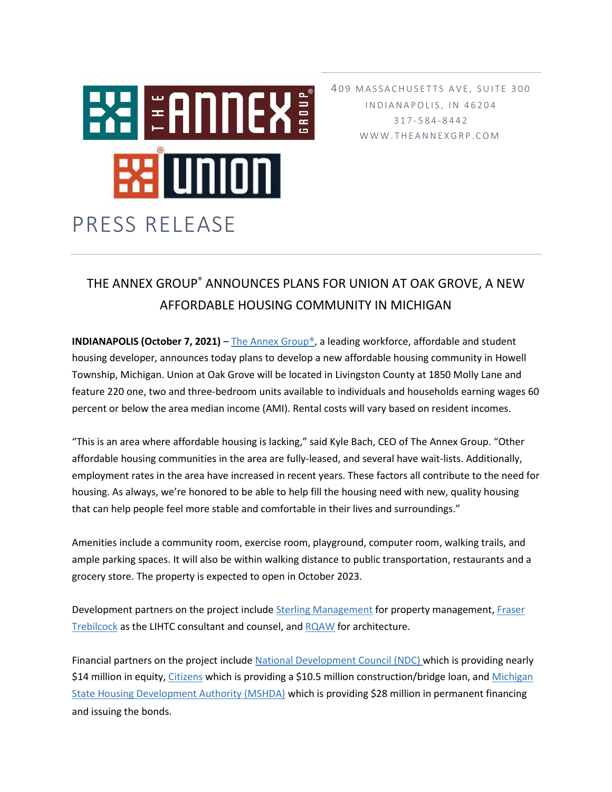

409 MASSACHUSETTS AVE, SUITE 300 I N D I A N A P O L I S, I N 4 6 2 0 4 317 - 5 8 4 - 8 4 4 2 W W W . T H E A N N E X G R P . C O M

## THE ANNEX GROUP® ANNOUNCES PLANS FOR UNION AT OAK GROVE, A NEW AFFORDABLE HOUSING COMMUNITY IN MICHIGAN

**INDIANAPOLIS (October 7, 2021)** – [The Annex Group®,](https://www.theannexgrp.com/) a leading workforce, affordable and student housing developer, announces today plans to develop a new affordable housing community in Howell Township, Michigan. Union at Oak Grove will be located in Livingston County at 1850 Molly Lane and feature 220 one, two and three-bedroom units available to individuals and households earning wages 60 percent or below the area median income (AMI). Rental costs will vary based on resident incomes.

"This is an area where affordable housing is lacking," said Kyle Bach, CEO of The Annex Group. "Other affordable housing communities in the area are fully-leased, and several have wait-lists. Additionally, employment rates in the area have increased in recent years. These factors all contribute to the need for housing. As always, we're honored to be able to help fill the housing need with new, quality housing that can help people feel more stable and comfortable in their lives and surroundings."

Amenities include a community room, exercise room, playground, computer room, walking trails, and ample parking spaces. It will also be within walking distance to public transportation, restaurants and a grocery store. The property is expected to open in October 2023.

Development partners on the project include Sterling [Management](https://www.thesterlinggrp.com/property-management-overview) for property management, Fraser [Trebilcock](https://www.fraserlawfirm.com/) as the LIHTC consultant and counsel, and [RQAW](https://www.rqaw.com/) for architecture.

Financial partners on the project include [National Development Council \(NDC\)](https://ndconline.org/) which is providing nearly \$14 million in equity[, Citizens](https://www.citizensbank.com/HomePage.aspx) which is providing a \$10.5 million construction/bridge loan, and [Michigan](https://www.hud.gov/states/michigan/homeownership/mihoc)  [State Housing Development Authority \(MSHDA\)](https://www.hud.gov/states/michigan/homeownership/mihoc) which is providing \$28 million in permanent financing and issuing the bonds.